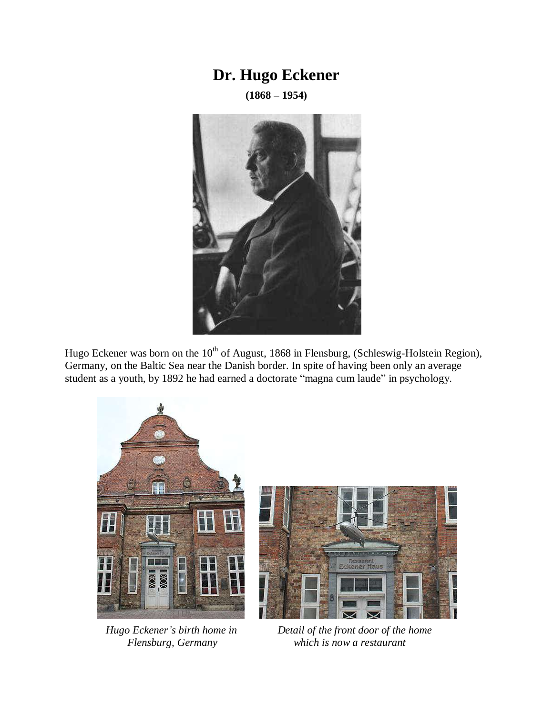## **Dr. Hugo Eckener**

**(1868 – 1954)**



Hugo Eckener was born on the  $10^{th}$  of August, 1868 in Flensburg, (Schleswig-Holstein Region), Germany, on the Baltic Sea near the Danish border. In spite of having been only an average student as a youth, by 1892 he had earned a doctorate "magna cum laude" in psychology.





 *Hugo Eckener's birth home in Detail of the front door of the home Flensburg, Germany which is now a restaurant*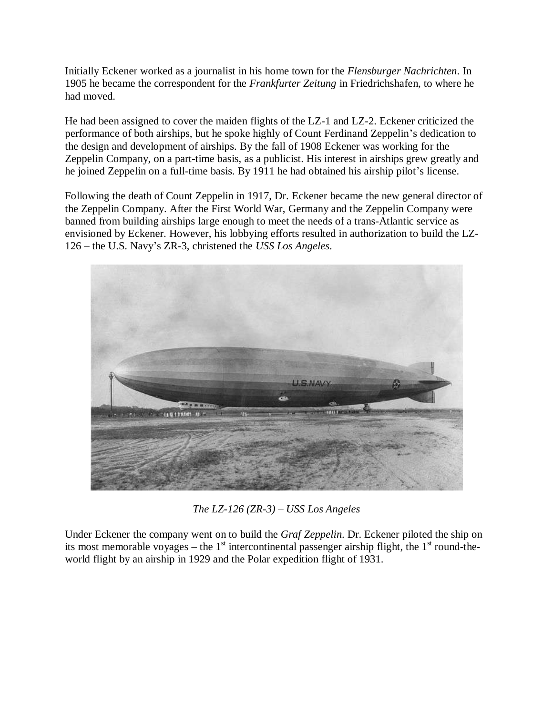Initially Eckener worked as a journalist in his home town for the *Flensburger Nachrichten*. In 1905 he became the correspondent for the *Frankfurter Zeitung* in Friedrichshafen, to where he had moved.

He had been assigned to cover the maiden flights of the LZ-1 and LZ-2. Eckener criticized the performance of both airships, but he spoke highly of Count Ferdinand Zeppelin's dedication to the design and development of airships. By the fall of 1908 Eckener was working for the Zeppelin Company, on a part-time basis, as a publicist. His interest in airships grew greatly and he joined Zeppelin on a full-time basis. By 1911 he had obtained his airship pilot's license.

Following the death of Count Zeppelin in 1917, Dr. Eckener became the new general director of the Zeppelin Company. After the First World War, Germany and the Zeppelin Company were banned from building airships large enough to meet the needs of a trans-Atlantic service as envisioned by Eckener. However, his lobbying efforts resulted in authorization to build the LZ-126 – the U.S. Navy's ZR-3, christened the *USS Los Angeles*.



*The LZ-126 (ZR-3) – USS Los Angeles* 

Under Eckener the company went on to build the *Graf Zeppelin*. Dr. Eckener piloted the ship on its most memorable voyages – the  $1<sup>st</sup>$  intercontinental passenger airship flight, the  $1<sup>st</sup>$  round-theworld flight by an airship in 1929 and the Polar expedition flight of 1931.